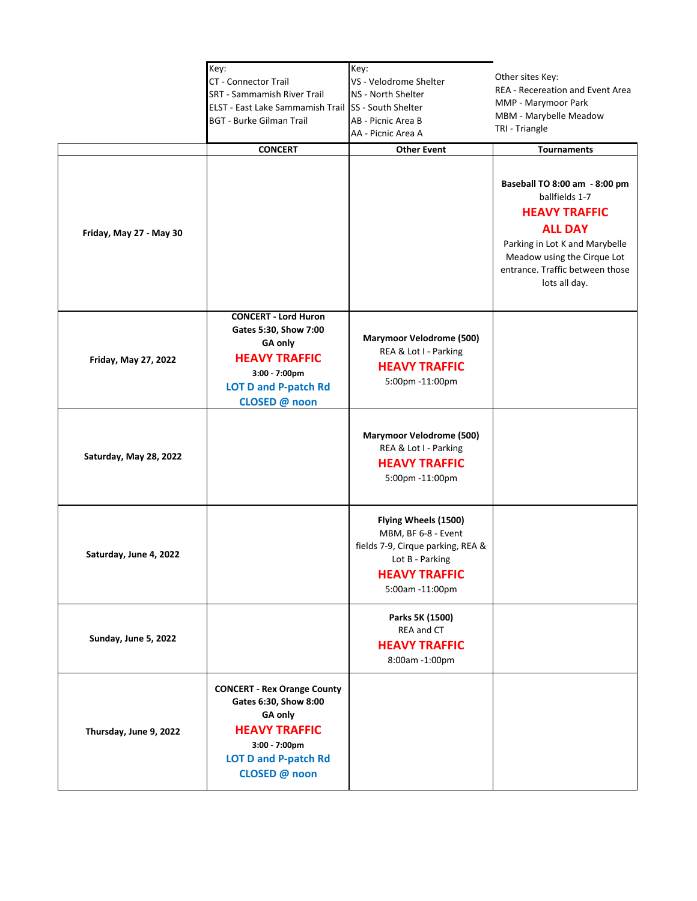| Friday, May 27 - May 30 | Key:<br>CT - Connector Trail<br><b>SRT - Sammamish River Trail</b><br>ELST - East Lake Sammamish Trail<br><b>BGT - Burke Gilman Trail</b><br><b>CONCERT</b>     | Key:<br>VS - Velodrome Shelter<br>NS - North Shelter<br>SS - South Shelter<br>AB - Picnic Area B<br>AA - Picnic Area A<br><b>Other Event</b>   | Other sites Key:<br><b>REA - Recereation and Event Area</b><br>MMP - Marymoor Park<br>MBM - Marybelle Meadow<br>TRI - Triangle<br><b>Tournaments</b><br>Baseball TO 8:00 am - 8:00 pm<br>ballfields 1-7<br><b>HEAVY TRAFFIC</b><br><b>ALL DAY</b><br>Parking in Lot K and Marybelle<br>Meadow using the Cirque Lot<br>entrance. Traffic between those<br>lots all day. |
|-------------------------|-----------------------------------------------------------------------------------------------------------------------------------------------------------------|------------------------------------------------------------------------------------------------------------------------------------------------|------------------------------------------------------------------------------------------------------------------------------------------------------------------------------------------------------------------------------------------------------------------------------------------------------------------------------------------------------------------------|
| Friday, May 27, 2022    | <b>CONCERT - Lord Huron</b><br>Gates 5:30, Show 7:00<br>GA only<br><b>HEAVY TRAFFIC</b><br>3:00 - 7:00pm<br><b>LOT D and P-patch Rd</b><br>CLOSED @ noon        | <b>Marymoor Velodrome (500)</b><br>REA & Lot I - Parking<br><b>HEAVY TRAFFIC</b><br>5:00pm -11:00pm                                            |                                                                                                                                                                                                                                                                                                                                                                        |
| Saturday, May 28, 2022  |                                                                                                                                                                 | <b>Marymoor Velodrome (500)</b><br>REA & Lot I - Parking<br><b>HEAVY TRAFFIC</b><br>5:00pm -11:00pm                                            |                                                                                                                                                                                                                                                                                                                                                                        |
| Saturday, June 4, 2022  |                                                                                                                                                                 | Flying Wheels (1500)<br>MBM, BF 6-8 - Event<br>fields 7-9, Cirque parking, REA &<br>Lot B - Parking<br><b>HEAVY TRAFFIC</b><br>5:00am -11:00pm |                                                                                                                                                                                                                                                                                                                                                                        |
| Sunday, June 5, 2022    |                                                                                                                                                                 | Parks 5K (1500)<br>REA and CT<br><b>HEAVY TRAFFIC</b><br>8:00am -1:00pm                                                                        |                                                                                                                                                                                                                                                                                                                                                                        |
| Thursday, June 9, 2022  | <b>CONCERT - Rex Orange County</b><br>Gates 6:30, Show 8:00<br>GA only<br><b>HEAVY TRAFFIC</b><br>3:00 - 7:00pm<br><b>LOT D and P-patch Rd</b><br>CLOSED @ noon |                                                                                                                                                |                                                                                                                                                                                                                                                                                                                                                                        |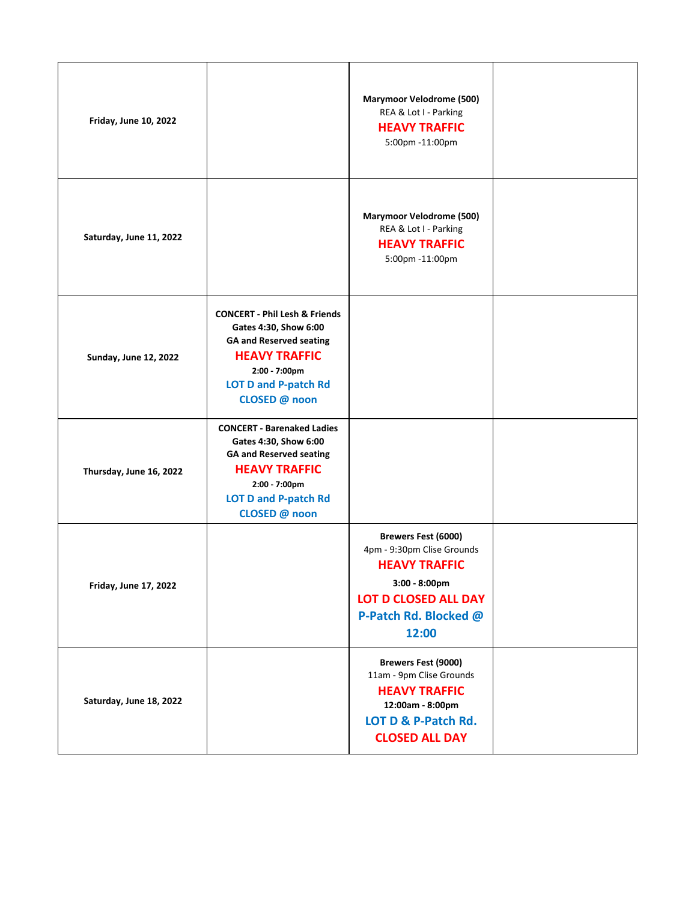| <b>Friday, June 10, 2022</b> |                                                                                                                                                                                              | <b>Marymoor Velodrome (500)</b><br>REA & Lot I - Parking<br><b>HEAVY TRAFFIC</b><br>5:00pm -11:00pm                                                                   |  |
|------------------------------|----------------------------------------------------------------------------------------------------------------------------------------------------------------------------------------------|-----------------------------------------------------------------------------------------------------------------------------------------------------------------------|--|
| Saturday, June 11, 2022      |                                                                                                                                                                                              | <b>Marymoor Velodrome (500)</b><br>REA & Lot I - Parking<br><b>HEAVY TRAFFIC</b><br>5:00pm -11:00pm                                                                   |  |
| <b>Sunday, June 12, 2022</b> | <b>CONCERT - Phil Lesh &amp; Friends</b><br>Gates 4:30, Show 6:00<br><b>GA and Reserved seating</b><br><b>HEAVY TRAFFIC</b><br>2:00 - 7:00pm<br><b>LOT D and P-patch Rd</b><br>CLOSED @ noon |                                                                                                                                                                       |  |
| Thursday, June 16, 2022      | <b>CONCERT - Barenaked Ladies</b><br>Gates 4:30, Show 6:00<br><b>GA and Reserved seating</b><br><b>HEAVY TRAFFIC</b><br>2:00 - 7:00pm<br><b>LOT D and P-patch Rd</b><br>CLOSED @ noon        |                                                                                                                                                                       |  |
| <b>Friday, June 17, 2022</b> |                                                                                                                                                                                              | <b>Brewers Fest (6000)</b><br>4pm - 9:30pm Clise Grounds<br><b>HEAVY TRAFFIC</b><br>$3:00 - 8:00$ pm<br><b>LOT D CLOSED ALL DAY</b><br>P-Patch Rd. Blocked @<br>12:00 |  |
| Saturday, June 18, 2022      |                                                                                                                                                                                              | <b>Brewers Fest (9000)</b><br>11am - 9pm Clise Grounds<br><b>HEAVY TRAFFIC</b><br>12:00am - 8:00pm<br>LOT D & P-Patch Rd.<br><b>CLOSED ALL DAY</b>                    |  |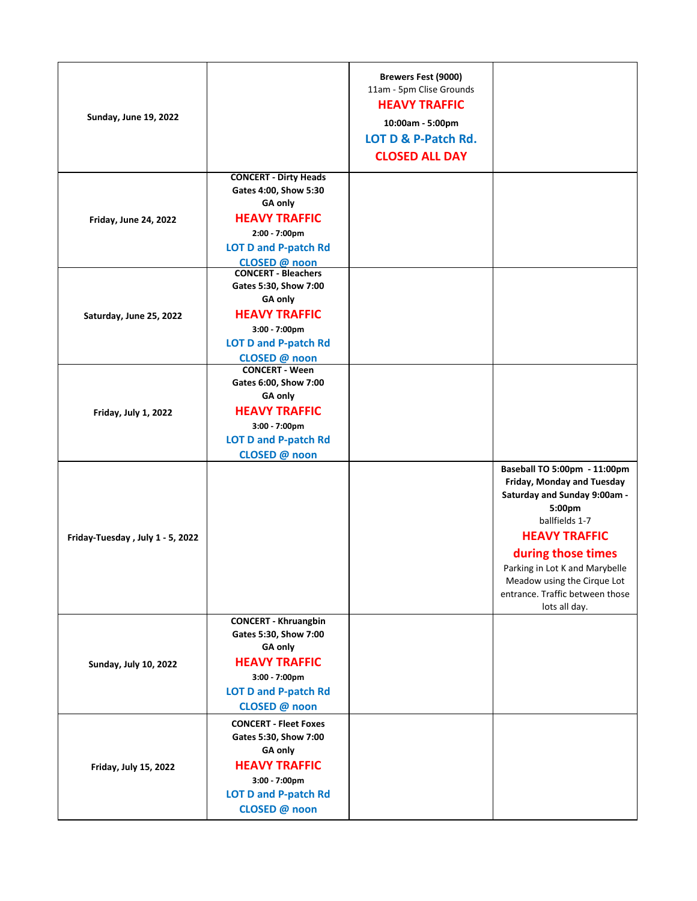| <b>Sunday, June 19, 2022</b>     |                                                                                                                                                           | <b>Brewers Fest (9000)</b><br>11am - 5pm Clise Grounds<br><b>HEAVY TRAFFIC</b><br>10:00am - 5:00pm<br>LOT D & P-Patch Rd.<br><b>CLOSED ALL DAY</b> |                                                                                                                                                                                                                                                                                           |
|----------------------------------|-----------------------------------------------------------------------------------------------------------------------------------------------------------|----------------------------------------------------------------------------------------------------------------------------------------------------|-------------------------------------------------------------------------------------------------------------------------------------------------------------------------------------------------------------------------------------------------------------------------------------------|
| <b>Friday, June 24, 2022</b>     | <b>CONCERT - Dirty Heads</b><br>Gates 4:00, Show 5:30<br>GA only<br><b>HEAVY TRAFFIC</b><br>2:00 - 7:00pm<br><b>LOT D and P-patch Rd</b><br>CLOSED @ noon |                                                                                                                                                    |                                                                                                                                                                                                                                                                                           |
| Saturday, June 25, 2022          | <b>CONCERT - Bleachers</b><br>Gates 5:30, Show 7:00<br>GA only<br><b>HEAVY TRAFFIC</b><br>3:00 - 7:00pm<br><b>LOT D and P-patch Rd</b><br>CLOSED @ noon   |                                                                                                                                                    |                                                                                                                                                                                                                                                                                           |
| Friday, July 1, 2022             | <b>CONCERT - Ween</b><br>Gates 6:00, Show 7:00<br>GA only<br><b>HEAVY TRAFFIC</b><br>$3:00 - 7:00$ pm<br><b>LOT D and P-patch Rd</b><br>CLOSED @ noon     |                                                                                                                                                    |                                                                                                                                                                                                                                                                                           |
| Friday-Tuesday, July 1 - 5, 2022 |                                                                                                                                                           |                                                                                                                                                    | Baseball TO 5:00pm - 11:00pm<br>Friday, Monday and Tuesday<br>Saturday and Sunday 9:00am -<br>5:00pm<br>ballfields 1-7<br><b>HEAVY TRAFFIC</b><br>during those times<br>Parking in Lot K and Marybelle<br>Meadow using the Cirque Lot<br>entrance. Traffic between those<br>lots all day. |
| <b>Sunday, July 10, 2022</b>     | <b>CONCERT - Khruangbin</b><br>Gates 5:30, Show 7:00<br>GA only<br><b>HEAVY TRAFFIC</b><br>3:00 - 7:00pm<br><b>LOT D and P-patch Rd</b><br>CLOSED @ noon  |                                                                                                                                                    |                                                                                                                                                                                                                                                                                           |
| Friday, July 15, 2022            | <b>CONCERT - Fleet Foxes</b><br>Gates 5:30, Show 7:00<br>GA only<br><b>HEAVY TRAFFIC</b><br>3:00 - 7:00pm<br><b>LOT D and P-patch Rd</b><br>CLOSED @ noon |                                                                                                                                                    |                                                                                                                                                                                                                                                                                           |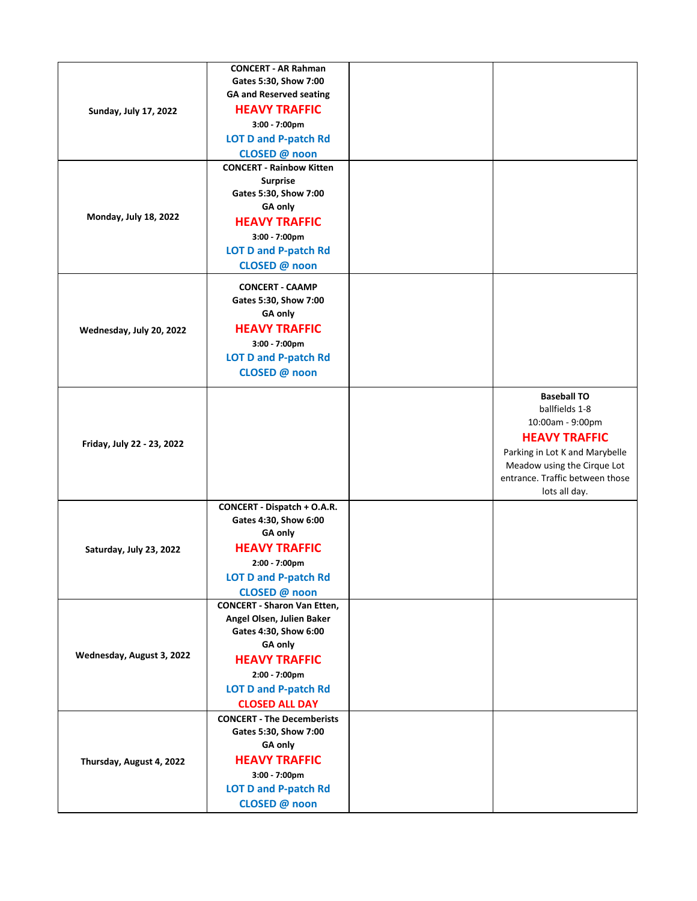|                              | <b>CONCERT - AR Rahman</b>         |                                 |
|------------------------------|------------------------------------|---------------------------------|
|                              |                                    |                                 |
|                              | Gates 5:30, Show 7:00              |                                 |
|                              | <b>GA and Reserved seating</b>     |                                 |
| <b>Sunday, July 17, 2022</b> | <b>HEAVY TRAFFIC</b>               |                                 |
|                              | 3:00 - 7:00pm                      |                                 |
|                              | <b>LOT D and P-patch Rd</b>        |                                 |
|                              | CLOSED @ noon                      |                                 |
|                              | <b>CONCERT - Rainbow Kitten</b>    |                                 |
|                              | <b>Surprise</b>                    |                                 |
|                              | Gates 5:30, Show 7:00              |                                 |
|                              | <b>GA only</b>                     |                                 |
| Monday, July 18, 2022        | <b>HEAVY TRAFFIC</b>               |                                 |
|                              | 3:00 - 7:00pm                      |                                 |
|                              | <b>LOT D and P-patch Rd</b>        |                                 |
|                              | CLOSED @ noon                      |                                 |
|                              |                                    |                                 |
|                              | <b>CONCERT - CAAMP</b>             |                                 |
|                              | Gates 5:30, Show 7:00              |                                 |
|                              | GA only                            |                                 |
| Wednesday, July 20, 2022     | <b>HEAVY TRAFFIC</b>               |                                 |
|                              | 3:00 - 7:00pm                      |                                 |
|                              | <b>LOT D and P-patch Rd</b>        |                                 |
|                              | CLOSED @ noon                      |                                 |
|                              |                                    |                                 |
|                              |                                    | <b>Baseball TO</b>              |
|                              |                                    | ballfields 1-8                  |
|                              |                                    | 10:00am - 9:00pm                |
|                              |                                    | <b>HEAVY TRAFFIC</b>            |
| Friday, July 22 - 23, 2022   |                                    | Parking in Lot K and Marybelle  |
|                              |                                    | Meadow using the Cirque Lot     |
|                              |                                    | entrance. Traffic between those |
|                              |                                    | lots all day.                   |
|                              | CONCERT - Dispatch + O.A.R.        |                                 |
|                              | Gates 4:30, Show 6:00              |                                 |
|                              | GA only                            |                                 |
|                              | <b>HEAVY TRAFFIC</b>               |                                 |
| Saturday, July 23, 2022      |                                    |                                 |
|                              | 2:00 - 7:00pm                      |                                 |
|                              | <b>LOT D and P-patch Rd</b>        |                                 |
|                              | CLOSED @ noon                      |                                 |
| Wednesday, August 3, 2022    | <b>CONCERT - Sharon Van Etten,</b> |                                 |
|                              | Angel Olsen, Julien Baker          |                                 |
|                              | Gates 4:30, Show 6:00              |                                 |
|                              | GA only                            |                                 |
|                              | <b>HEAVY TRAFFIC</b>               |                                 |
|                              | 2:00 - 7:00pm                      |                                 |
|                              | <b>LOT D and P-patch Rd</b>        |                                 |
|                              | <b>CLOSED ALL DAY</b>              |                                 |
|                              | <b>CONCERT - The Decemberists</b>  |                                 |
|                              | Gates 5:30, Show 7:00              |                                 |
|                              | GA only                            |                                 |
| Thursday, August 4, 2022     | <b>HEAVY TRAFFIC</b>               |                                 |
|                              | 3:00 - 7:00pm                      |                                 |
|                              | <b>LOT D and P-patch Rd</b>        |                                 |
|                              | CLOSED @ noon                      |                                 |
|                              |                                    |                                 |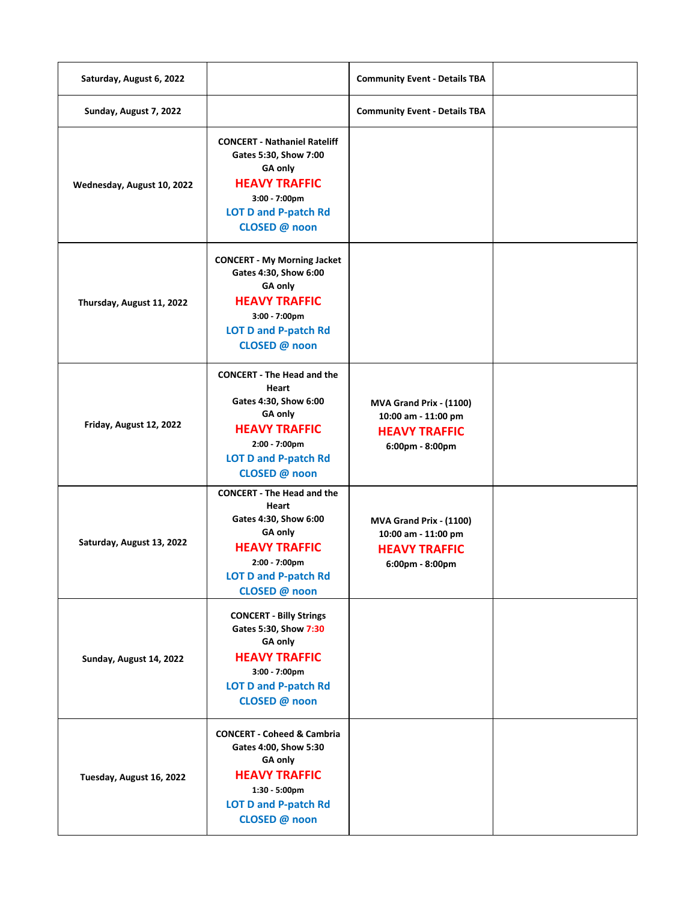| Saturday, August 6, 2022   |                                                                                                                                                                                | <b>Community Event - Details TBA</b>                                                      |  |
|----------------------------|--------------------------------------------------------------------------------------------------------------------------------------------------------------------------------|-------------------------------------------------------------------------------------------|--|
| Sunday, August 7, 2022     |                                                                                                                                                                                | <b>Community Event - Details TBA</b>                                                      |  |
| Wednesday, August 10, 2022 | <b>CONCERT - Nathaniel Rateliff</b><br>Gates 5:30, Show 7:00<br><b>GA only</b><br><b>HEAVY TRAFFIC</b><br>3:00 - 7:00pm<br><b>LOT D and P-patch Rd</b><br>CLOSED @ noon        |                                                                                           |  |
| Thursday, August 11, 2022  | <b>CONCERT - My Morning Jacket</b><br>Gates 4:30, Show 6:00<br>GA only<br><b>HEAVY TRAFFIC</b><br>3:00 - 7:00pm<br><b>LOT D and P-patch Rd</b><br>CLOSED @ noon                |                                                                                           |  |
| Friday, August 12, 2022    | <b>CONCERT - The Head and the</b><br>Heart<br>Gates 4:30, Show 6:00<br><b>GA only</b><br><b>HEAVY TRAFFIC</b><br>2:00 - 7:00pm<br><b>LOT D and P-patch Rd</b><br>CLOSED @ noon | MVA Grand Prix - (1100)<br>10:00 am - 11:00 pm<br><b>HEAVY TRAFFIC</b><br>6:00pm - 8:00pm |  |
| Saturday, August 13, 2022  | <b>CONCERT - The Head and the</b><br>Heart<br>Gates 4:30, Show 6:00<br><b>GA only</b><br><b>HEAVY TRAFFIC</b><br>2:00 - 7:00pm<br><b>LOT D and P-patch Rd</b><br>CLOSED @ noon | MVA Grand Prix - (1100)<br>10:00 am - 11:00 pm<br><b>HEAVY TRAFFIC</b><br>6:00pm - 8:00pm |  |
| Sunday, August 14, 2022    | <b>CONCERT - Billy Strings</b><br>Gates 5:30, Show 7:30<br>GA only<br><b>HEAVY TRAFFIC</b><br>3:00 - 7:00pm<br><b>LOT D and P-patch Rd</b><br>CLOSED @ noon                    |                                                                                           |  |
| Tuesday, August 16, 2022   | <b>CONCERT - Coheed &amp; Cambria</b><br>Gates 4:00, Show 5:30<br>GA only<br><b>HEAVY TRAFFIC</b><br>1:30 - 5:00pm<br><b>LOT D and P-patch Rd</b><br>CLOSED @ noon             |                                                                                           |  |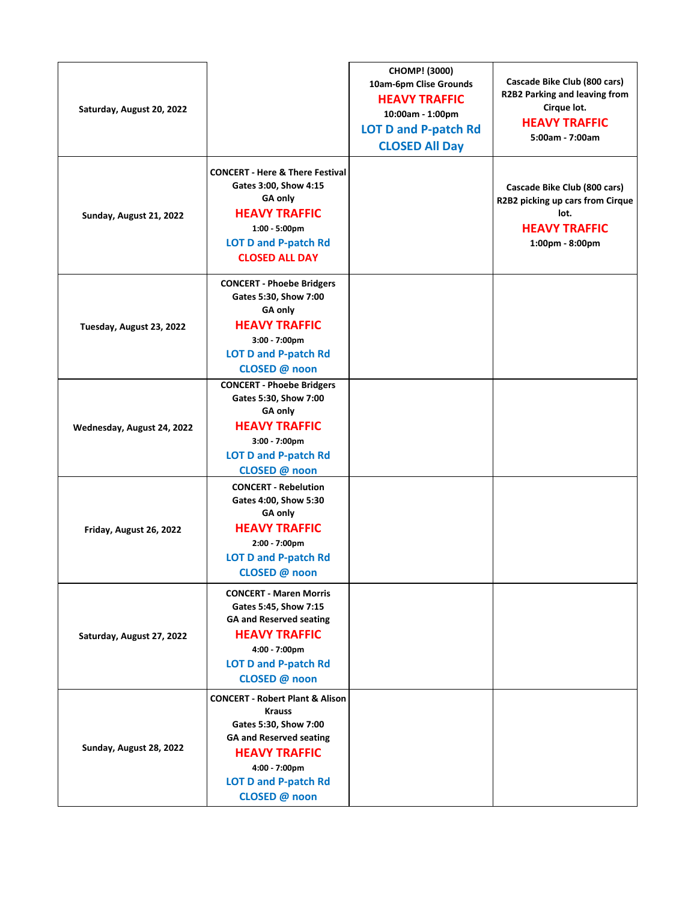| Saturday, August 20, 2022  |                                                                                                                                                                                                                 | CHOMP! (3000)<br>10am-6pm Clise Grounds<br><b>HEAVY TRAFFIC</b><br>10:00am - 1:00pm<br><b>LOT D and P-patch Rd</b><br><b>CLOSED All Day</b> | Cascade Bike Club (800 cars)<br>R2B2 Parking and leaving from<br>Cirque lot.<br><b>HEAVY TRAFFIC</b><br>5:00am - 7:00am |
|----------------------------|-----------------------------------------------------------------------------------------------------------------------------------------------------------------------------------------------------------------|---------------------------------------------------------------------------------------------------------------------------------------------|-------------------------------------------------------------------------------------------------------------------------|
| Sunday, August 21, 2022    | <b>CONCERT - Here &amp; There Festival</b><br>Gates 3:00, Show 4:15<br>GA only<br><b>HEAVY TRAFFIC</b><br>$1:00 - 5:00 \text{pm}$<br><b>LOT D and P-patch Rd</b><br><b>CLOSED ALL DAY</b>                       |                                                                                                                                             | Cascade Bike Club (800 cars)<br>R2B2 picking up cars from Cirque<br>lot.<br><b>HEAVY TRAFFIC</b><br>1:00pm - 8:00pm     |
| Tuesday, August 23, 2022   | <b>CONCERT - Phoebe Bridgers</b><br>Gates 5:30, Show 7:00<br>GA only<br><b>HEAVY TRAFFIC</b><br>3:00 - 7:00pm<br><b>LOT D and P-patch Rd</b><br>CLOSED @ noon                                                   |                                                                                                                                             |                                                                                                                         |
| Wednesday, August 24, 2022 | <b>CONCERT - Phoebe Bridgers</b><br>Gates 5:30, Show 7:00<br>GA only<br><b>HEAVY TRAFFIC</b><br>3:00 - 7:00pm<br><b>LOT D and P-patch Rd</b><br>CLOSED @ noon                                                   |                                                                                                                                             |                                                                                                                         |
| Friday, August 26, 2022    | <b>CONCERT - Rebelution</b><br>Gates 4:00, Show 5:30<br>GA only<br><b>HEAVY TRAFFIC</b><br>2:00 - 7:00pm<br><b>LOT D and P-patch Rd</b><br>CLOSED @ noon                                                        |                                                                                                                                             |                                                                                                                         |
| Saturday, August 27, 2022  | <b>CONCERT - Maren Morris</b><br>Gates 5:45, Show 7:15<br><b>GA and Reserved seating</b><br><b>HEAVY TRAFFIC</b><br>4:00 - 7:00pm<br><b>LOT D and P-patch Rd</b><br>CLOSED @ noon                               |                                                                                                                                             |                                                                                                                         |
| Sunday, August 28, 2022    | <b>CONCERT - Robert Plant &amp; Alison</b><br><b>Krauss</b><br>Gates 5:30, Show 7:00<br><b>GA and Reserved seating</b><br><b>HEAVY TRAFFIC</b><br>4:00 - 7:00pm<br><b>LOT D and P-patch Rd</b><br>CLOSED @ noon |                                                                                                                                             |                                                                                                                         |